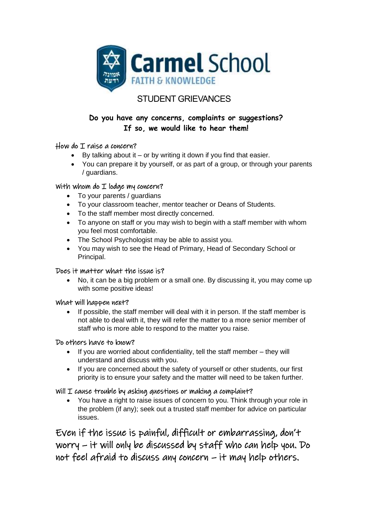

# STUDENT GRIEVANCES

# **Do you have any concerns, complaints or suggestions? If so, we would like to hear them!**

## How do I raise a concern?

- By talking about it or by writing it down if you find that easier.
- You can prepare it by yourself, or as part of a group, or through your parents / guardians.

## With whom do I lodge my concern?

- To your parents / guardians
- To your classroom teacher, mentor teacher or Deans of Students.
- To the staff member most directly concerned.
- To anyone on staff or you may wish to begin with a staff member with whom you feel most comfortable.
- The School Psychologist may be able to assist you.
- You may wish to see the Head of Primary, Head of Secondary School or Principal.

#### Does it matter what the issue is?

• No, it can be a big problem or a small one. By discussing it, you may come up with some positive ideas!

#### What will happen next?

If possible, the staff member will deal with it in person. If the staff member is not able to deal with it, they will refer the matter to a more senior member of staff who is more able to respond to the matter you raise.

#### Do others have to know?

- If you are worried about confidentiality, tell the staff member they will understand and discuss with you.
- If you are concerned about the safety of yourself or other students, our first priority is to ensure your safety and the matter will need to be taken further.

## Will  $I$  cause trouble by asking questions or making a complaint?

• You have a right to raise issues of concern to you. Think through your role in the problem (if any); seek out a trusted staff member for advice on particular issues.

Even if the issue is painful, difficult or embarrassing, don't worry – it will only be discussed by staff who can help you. Do not feel afraid to discuss any concern – it may help others.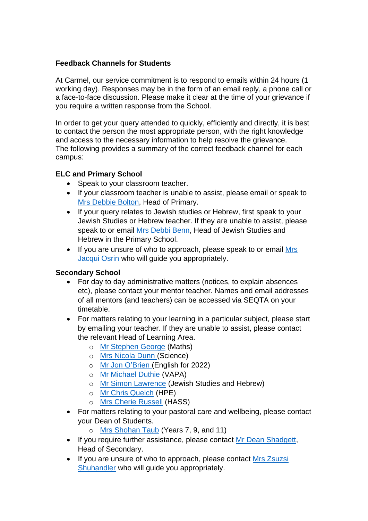## **Feedback Channels for Students**

At Carmel, our service commitment is to respond to emails within 24 hours (1 working day). Responses may be in the form of an email reply, a phone call or a face-to-face discussion. Please make it clear at the time of your grievance if you require a written response from the School.

In order to get your query attended to quickly, efficiently and directly, it is best to contact the person the most appropriate person, with the right knowledge and access to the necessary information to help resolve the grievance. The following provides a summary of the correct feedback channel for each campus:

## **ELC and Primary School**

- Speak to your classroom teacher.
- If your classroom teacher is unable to assist, please email or speak to Mrs [Debbie Bolton,](mailto:debbie.bolton@carmel.wa.edu.au) Head of Primary.
- If your query relates to Jewish studies or Hebrew, first speak to your Jewish Studies or Hebrew teacher. If they are unable to assist, please speak to or email Mrs [Debbi Benn,](mailto:debbi.benn@carmel.wa.edu.au) Head of Jewish Studies and Hebrew in the Primary School.
- If you are unsure of who to approach, please speak to or email [Mrs](mailto:jacqui.orsin@carmel.wa.edu.au) [Jacqui Osrin](mailto:jacqui.orsin@carmel.wa.edu.au) who will guide you appropriately.

#### **Secondary School**

- For day to day administrative matters (notices, to explain absences etc), please contact your mentor teacher. Names and email addresses of all mentors (and teachers) can be accessed via SEQTA on your timetable.
- For matters relating to your learning in a particular subject, please start by emailing your teacher. If they are unable to assist, please contact the relevant Head of Learning Area.
	- o Mr [Stephen George](mailto:stephen.george@carmel.wa.edu.au) (Maths)
	- o [Mrs Nicola Dunn](mailto:nicola.dunn@carmel.wa.edu.au) (Science)
	- o Mr [Jon O'Brien](mailto:jonathanO) (English for 2022)
	- o Mr [Michael Duthie](mailto:michael.duthie@carmel.wa.edu.au) (VAPA)
	- o Mr [Simon Lawrence](mailto:lawsims@carmel.wa.edu.au) (Jewish Studies and Hebrew)
	- o Mr [Chris Quelch](mailto:chris.quelch@carmel.wa.edu.au) (HPE)
	- o Mrs [Cherie Russell](mailto:cherie.russell@carmel.wa.edu.au) (HASS)
- For matters relating to your pastoral care and wellbeing, please contact your Dean of Students.
	- o Mrs [Shohan Taub](mailto:shohan.taub@carmel.wa.edu.au) (Years 7, 9, and 11)
- If you require further assistance, please contact Mr [Dean Shadgett,](mailto:dean.shadgett@carmel.wa.edu.au) Head of Secondary.
- If you are unsure of who to approach, please contact Mrs Zsuzsi [Shuhandler](mailto:zsuzsi.shuhandler@carmel.wa.edu.au) who will guide you appropriately.